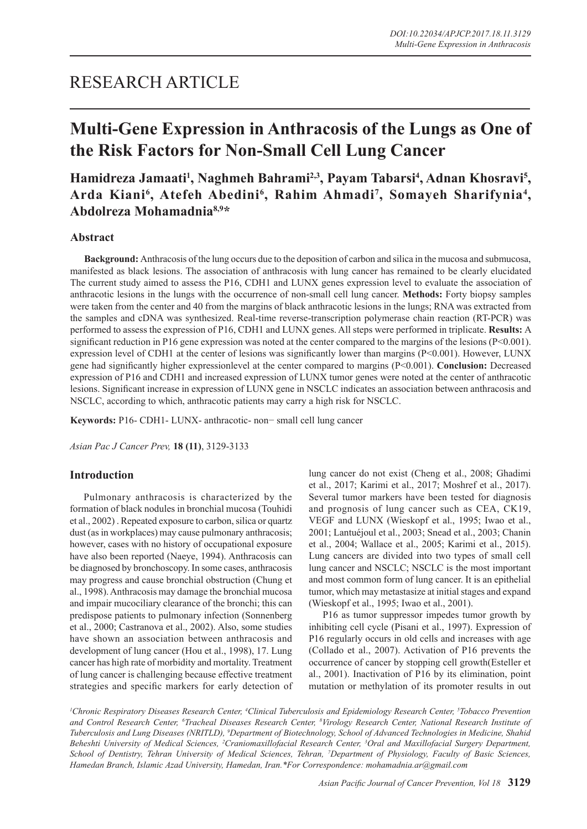# RESEARCH ARTICLE

# **Multi-Gene Expression in Anthracosis of the Lungs as One of the Risk Factors for Non-Small Cell Lung Cancer**

# Hamidreza Jamaati<sup>1</sup>, Naghmeh Bahrami<sup>2,3</sup>, Payam Tabarsi<sup>4</sup>, Adnan Khosravi<sup>5</sup>, Arda Kiani<sup>6</sup>, Atefeh Abedini<sup>6</sup>, Rahim Ahmadi<sup>7</sup>, Somayeh Sharifynia<sup>4</sup>, **Abdolreza Mohamadnia8,9\***

# **Abstract**

**Background:** Anthracosis of the lung occurs due to the deposition of carbon and silica in the mucosa and submucosa, manifested as black lesions. The association of anthracosis with lung cancer has remained to be clearly elucidated The current study aimed to assess the P16, CDH1 and LUNX genes expression level to evaluate the association of anthracotic lesions in the lungs with the occurrence of non-small cell lung cancer. **Methods:** Forty biopsy samples were taken from the center and 40 from the margins of black anthracotic lesions in the lungs; RNA was extracted from the samples and cDNA was synthesized. Real-time reverse-transcription polymerase chain reaction (RT-PCR) was performed to assess the expression of P16, CDH1 and LUNX genes. All steps were performed in triplicate. **Results:** A significant reduction in P16 gene expression was noted at the center compared to the margins of the lesions ( $P<0.001$ ). expression level of CDH1 at the center of lesions was significantly lower than margins ( $P \le 0.001$ ). However, LUNX gene had significantly higher expressionlevel at the center compared to margins (P<0.001). **Conclusion:** Decreased expression of P16 and CDH1 and increased expression of LUNX tumor genes were noted at the center of anthracotic lesions. Significant increase in expression of LUNX gene in NSCLC indicates an association between anthracosis and NSCLC, according to which, anthracotic patients may carry a high risk for NSCLC.

**Keywords:** P16- CDH1- LUNX- anthracotic- non− small cell lung cancer

*Asian Pac J Cancer Prev,* **18 (11)**, 3129-3133

# **Introduction**

Pulmonary anthracosis is characterized by the formation of black nodules in bronchial mucosa (Touhidi et al., 2002) . Repeated exposure to carbon, silica or quartz dust (as in workplaces) may cause pulmonary anthracosis; however, cases with no history of occupational exposure have also been reported (Naeye, 1994). Anthracosis can be diagnosed by bronchoscopy. In some cases, anthracosis may progress and cause bronchial obstruction (Chung et al., 1998). Anthracosis may damage the bronchial mucosa and impair mucociliary clearance of the bronchi; this can predispose patients to pulmonary infection (Sonnenberg et al., 2000; Castranova et al., 2002). Also, some studies have shown an association between anthracosis and development of lung cancer (Hou et al., 1998), 17. Lung cancer has high rate of morbidity and mortality. Treatment of lung cancer is challenging because effective treatment strategies and specific markers for early detection of lung cancer do not exist (Cheng et al., 2008; Ghadimi et al., 2017; Karimi et al., 2017; Moshref et al., 2017). Several tumor markers have been tested for diagnosis and prognosis of lung cancer such as CEA, CK19, VEGF and LUNX (Wieskopf et al., 1995; Iwao et al., 2001; Lantuéjoul et al., 2003; Snead et al., 2003; Chanin et al., 2004; Wallace et al., 2005; Karimi et al., 2015). Lung cancers are divided into two types of small cell lung cancer and NSCLC; NSCLC is the most important and most common form of lung cancer. It is an epithelial tumor, which may metastasize at initial stages and expand (Wieskopf et al., 1995; Iwao et al., 2001).

P16 as tumor suppressor impedes tumor growth by inhibiting cell cycle (Pisani et al., 1997). Expression of P16 regularly occurs in old cells and increases with age (Collado et al., 2007). Activation of P16 prevents the occurrence of cancer by stopping cell growth(Esteller et al., 2001). Inactivation of P16 by its elimination, point mutation or methylation of its promoter results in out

<sup>1</sup>Chronic Respiratory Diseases Research Center, <sup>4</sup>Clinical Tuberculosis and Epidemiology Research Center, <sup>5</sup>Tobacco Prevention *and Control Research Center, 6 Tracheal Diseases Research Center, 8 Virology Research Center, National Research Institute of Tuberculosis and Lung Diseases (NRITLD), 9 Department of Biotechnology, School of Advanced Technologies in Medicine, Shahid Beheshti University of Medical Sciences, 2 Craniomaxillofacial Research Center, 3 Oral and Maxillofacial Surgery Department, School of Dentistry, Tehran University of Medical Sciences, Tehran, 7 Department of Physiology, Faculty of Basic Sciences, Hamedan Branch, Islamic Azad University, Hamedan, Iran.\*For Correspondence: mohamadnia.ar@gmail.com*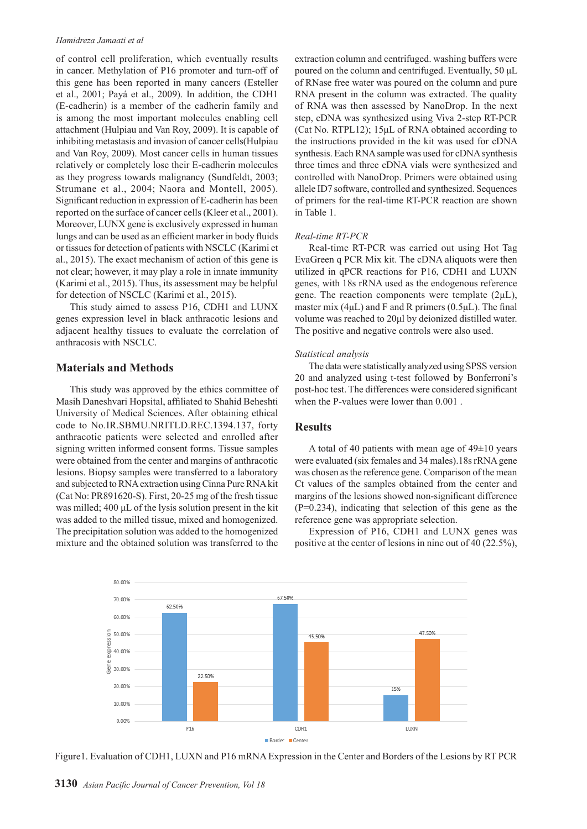#### *Hamidreza Jamaati et al*

of control cell proliferation, which eventually results in cancer. Methylation of P16 promoter and turn-off of this gene has been reported in many cancers (Esteller et al., 2001; Payá et al., 2009). In addition, the CDH1 (E-cadherin) is a member of the cadherin family and is among the most important molecules enabling cell attachment (Hulpiau and Van Roy, 2009). It is capable of inhibiting metastasis and invasion of cancer cells(Hulpiau and Van Roy, 2009). Most cancer cells in human tissues relatively or completely lose their E-cadherin molecules as they progress towards malignancy (Sundfeldt, 2003; Strumane et al., 2004; Naora and Montell, 2005). Significant reduction in expression of E-cadherin has been reported on the surface of cancer cells (Kleer et al., 2001). Moreover, LUNX gene is exclusively expressed in human lungs and can be used as an efficient marker in body fluids or tissues for detection of patients with NSCLC (Karimi et al., 2015). The exact mechanism of action of this gene is not clear; however, it may play a role in innate immunity (Karimi et al., 2015). Thus, its assessment may be helpful for detection of NSCLC (Karimi et al., 2015).

This study aimed to assess P16, CDH1 and LUNX genes expression level in black anthracotic lesions and adjacent healthy tissues to evaluate the correlation of anthracosis with NSCLC.

#### **Materials and Methods**

This study was approved by the ethics committee of Masih Daneshvari Hopsital, affiliated to Shahid Beheshti University of Medical Sciences. After obtaining ethical code to No.IR.SBMU.NRITLD.REC.1394.137, forty anthracotic patients were selected and enrolled after signing written informed consent forms. Tissue samples were obtained from the center and margins of anthracotic lesions. Biopsy samples were transferred to a laboratory and subjected to RNA extraction using Cinna Pure RNA kit (Cat No: PR891620-S). First, 20-25 mg of the fresh tissue was milled; 400 μL of the lysis solution present in the kit was added to the milled tissue, mixed and homogenized. The precipitation solution was added to the homogenized mixture and the obtained solution was transferred to the

extraction column and centrifuged. washing buffers were poured on the column and centrifuged. Eventually, 50 μL of RNase free water was poured on the column and pure RNA present in the column was extracted. The quality of RNA was then assessed by NanoDrop. In the next step, cDNA was synthesized using Viva 2-step RT-PCR (Cat No. RTPL12); 15μL of RNA obtained according to the instructions provided in the kit was used for cDNA synthesis. Each RNA sample was used for cDNA synthesis three times and three cDNA vials were synthesized and controlled with NanoDrop. Primers were obtained using allele ID7 software, controlled and synthesized. Sequences of primers for the real-time RT-PCR reaction are shown in Table 1.

#### *Real-time RT-PCR*

Real-time RT-PCR was carried out using Hot Tag EvaGreen q PCR Mix kit. The cDNA aliquots were then utilized in qPCR reactions for P16, CDH1 and LUXN genes, with 18s rRNA used as the endogenous reference gene. The reaction components were template  $(2\mu L)$ , master mix (4 $\mu$ L) and F and R primers (0.5 $\mu$ L). The final volume was reached to 20μl by deionized distilled water. The positive and negative controls were also used.

#### *Statistical analysis*

The data were statistically analyzed using SPSS version 20 and analyzed using t-test followed by Bonferroni's post-hoc test. The differences were considered significant when the P-values were lower than 0.001 .

# **Results**

A total of 40 patients with mean age of  $49\pm10$  years were evaluated (six females and 34 males).18s rRNA gene was chosen as the reference gene. Comparison of the mean Ct values of the samples obtained from the center and margins of the lesions showed non-significant difference (P=0.234), indicating that selection of this gene as the reference gene was appropriate selection.

Expression of P16, CDH1 and LUNX genes was positive at the center of lesions in nine out of 40 (22.5%),



Figure1. Evaluation of CDH1, LUXN and P16 mRNA Expression in the Center and Borders of the Lesions by RT PCR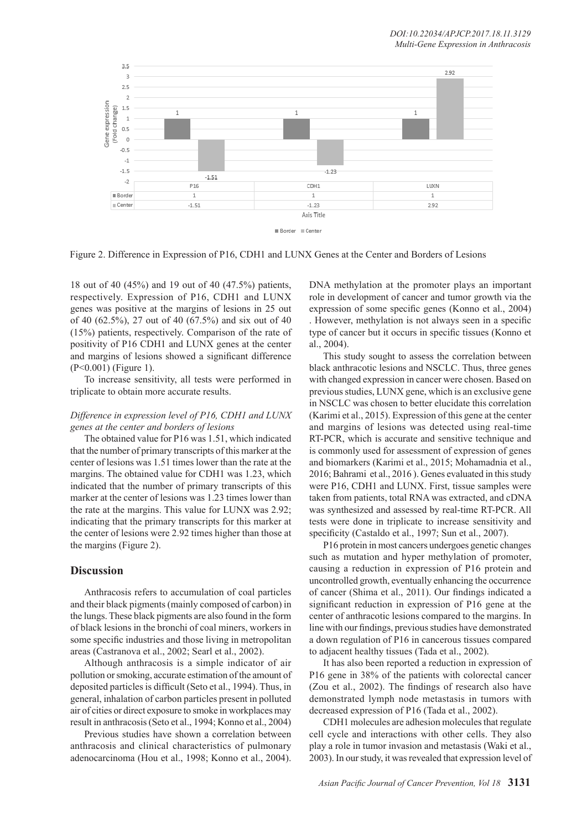

Figure 2. Difference in Expression of P16, CDH1 and LUNX Genes at the Center and Borders of Lesions

18 out of 40 (45%) and 19 out of 40 (47.5%) patients, respectively. Expression of P16, CDH1 and LUNX genes was positive at the margins of lesions in 25 out of 40 (62.5%), 27 out of 40 (67.5%) and six out of 40 (15%) patients, respectively. Comparison of the rate of positivity of P16 CDH1 and LUNX genes at the center and margins of lesions showed a significant difference (P<0.001) (Figure 1).

To increase sensitivity, all tests were performed in triplicate to obtain more accurate results.

# *Difference in expression level of P16, CDH1 and LUNX genes at the center and borders of lesions*

The obtained value for P16 was 1.51, which indicated that the number of primary transcripts of this marker at the center of lesions was 1.51 times lower than the rate at the margins. The obtained value for CDH1 was 1.23, which indicated that the number of primary transcripts of this marker at the center of lesions was 1.23 times lower than the rate at the margins. This value for LUNX was 2.92; indicating that the primary transcripts for this marker at the center of lesions were 2.92 times higher than those at the margins (Figure 2).

### **Discussion**

Anthracosis refers to accumulation of coal particles and their black pigments (mainly composed of carbon) in the lungs. These black pigments are also found in the form of black lesions in the bronchi of coal miners, workers in some specific industries and those living in metropolitan areas (Castranova et al., 2002; Searl et al., 2002).

Although anthracosis is a simple indicator of air pollution or smoking, accurate estimation of the amount of deposited particles is difficult (Seto et al., 1994). Thus, in general, inhalation of carbon particles present in polluted air of cities or direct exposure to smoke in workplaces may result in anthracosis (Seto et al., 1994; Konno et al., 2004)

Previous studies have shown a correlation between anthracosis and clinical characteristics of pulmonary adenocarcinoma (Hou et al., 1998; Konno et al., 2004).

DNA methylation at the promoter plays an important role in development of cancer and tumor growth via the expression of some specific genes (Konno et al., 2004) . However, methylation is not always seen in a specific type of cancer but it occurs in specific tissues (Konno et al., 2004).

This study sought to assess the correlation between black anthracotic lesions and NSCLC. Thus, three genes with changed expression in cancer were chosen. Based on previous studies, LUNX gene, which is an exclusive gene in NSCLC was chosen to better elucidate this correlation (Karimi et al., 2015). Expression of this gene at the center and margins of lesions was detected using real-time RT-PCR, which is accurate and sensitive technique and is commonly used for assessment of expression of genes and biomarkers (Karimi et al., 2015; Mohamadnia et al., 2016; Bahrami et al., 2016 ). Genes evaluated in this study were P16, CDH1 and LUNX. First, tissue samples were taken from patients, total RNA was extracted, and cDNA was synthesized and assessed by real-time RT-PCR. All tests were done in triplicate to increase sensitivity and specificity (Castaldo et al., 1997; Sun et al., 2007).

P16 protein in most cancers undergoes genetic changes such as mutation and hyper methylation of promoter, causing a reduction in expression of P16 protein and uncontrolled growth, eventually enhancing the occurrence of cancer (Shima et al., 2011). Our findings indicated a significant reduction in expression of P16 gene at the center of anthracotic lesions compared to the margins. In line with our findings, previous studies have demonstrated a down regulation of P16 in cancerous tissues compared to adjacent healthy tissues (Tada et al., 2002).

It has also been reported a reduction in expression of P16 gene in 38% of the patients with colorectal cancer (Zou et al., 2002). The findings of research also have demonstrated lymph node metastasis in tumors with decreased expression of P16 (Tada et al., 2002).

CDH1 molecules are adhesion molecules that regulate cell cycle and interactions with other cells. They also play a role in tumor invasion and metastasis (Waki et al., 2003). In our study, it was revealed that expression level of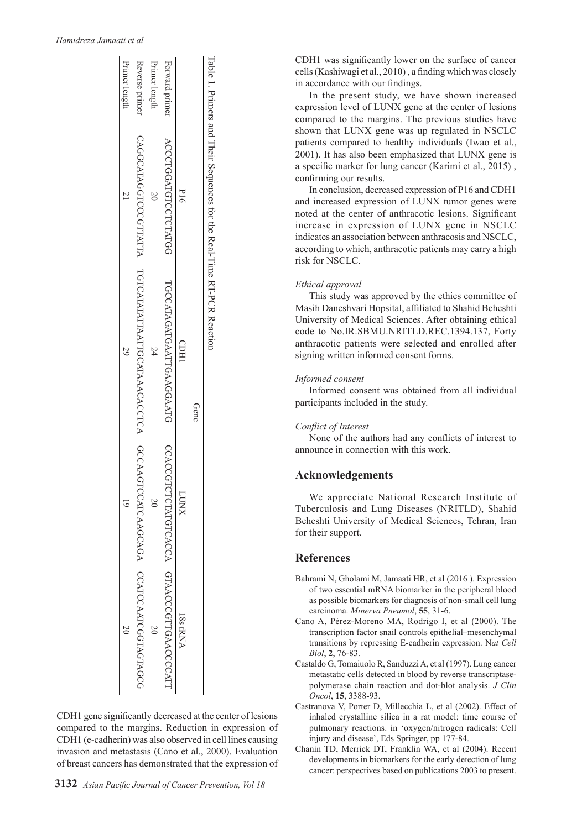#### *Hamidreza Jamaati et al*

|                | Table 1. Primers and Their Sequences for the Real-Time RT-PCR Reaction | Gene                                                                                          |                                           |         |
|----------------|------------------------------------------------------------------------|-----------------------------------------------------------------------------------------------|-------------------------------------------|---------|
|                | $\frac{1}{2}$                                                          | CDHI                                                                                          | <b>LUNX</b>                               | 18srRNA |
| Forward primer | ACCCTGGATGTCCTCTATGG                                                   | <b>TGCCATAGATGAATTGAAGGAATG</b>                                                               | CCACCGTCTCTATGTCACCA GTAACCCGTTGAACCCCATT |         |
| Primer length  |                                                                        |                                                                                               |                                           |         |
| Reverse primer |                                                                        | CAGGCATAGGTCCCGTTATTA TGTCATATATTAATTGCATAAACACCTCA GCCAAGTCCATCAAGCAGA CCATCCAATCGGTAGCTAGCG |                                           |         |
| Primer length  |                                                                        | 29                                                                                            |                                           |         |

CDH1 gene significantly decreased at the center of lesions compared to the margins. Reduction in expression of CDH1 (e-cadherin) was also observed in cell lines causing invasion and metastasis (Cano et al., 2000). Evaluation of breast cancers has demonstrated that the expression of CDH1 was significantly lower on the surface of cancer cells (Kashiwagi et al., 2010) , a finding which was closely in accordance with our findings.

In the present study, we have shown increased expression level of LUNX gene at the center of lesions compared to the margins. The previous studies have shown that LUNX gene was up regulated in NSCLC patients compared to healthy individuals (Iwao et al., 2001). It has also been emphasized that LUNX gene is a specific marker for lung cancer (Karimi et al., 2015) , confirming our results.

In conclusion, decreased expression of P16 and CDH1 and increased expression of LUNX tumor genes were noted at the center of anthracotic lesions. Significant increase in expression of LUNX gene in NSCLC indicates an association between anthracosis and NSCLC, according to which, anthracotic patients may carry a high risk for NSCLC.

#### *Ethical approval*

This study was approved by the ethics committee of Masih Daneshvari Hopsital, affiliated to Shahid Beheshti University of Medical Sciences. After obtaining ethical code to No.IR.SBMU.NRITLD.REC.1394.137, Forty anthracotic patients were selected and enrolled after signing written informed consent forms.

#### *Informed consent*

Informed consent was obtained from all individual participants included in the study.

#### *Conflict of Interest*

None of the authors had any conflicts of interest to announce in connection with this work.

# **Acknowledgements**

We appreciate National Research Institute of Tuberculosis and Lung Diseases (NRITLD), Shahid Beheshti University of Medical Sciences, Tehran, Iran for their support.

### **References**

- Bahrami N, Gholami M, Jamaati HR, et al (2016 ). Expression of two essential mRNA biomarker in the peripheral blood as possible biomarkers for diagnosis of non-small cell lung carcinoma. *Minerva Pneumol*, **55**, 31-6.
- Cano A, Pérez-Moreno MA, Rodrigo I, et al (2000). The transcription factor snail controls epithelial–mesenchymal transitions by repressing E-cadherin expression. N*at Cell Biol*, **2**, 76-83.
- Castaldo G, Tomaiuolo R, Sanduzzi A, et al (1997). Lung cancer metastatic cells detected in blood by reverse transcriptasepolymerase chain reaction and dot-blot analysis. *J Clin Oncol*, **15**, 3388-93.
- Castranova V, Porter D, Millecchia L, et al (2002). Effect of inhaled crystalline silica in a rat model: time course of pulmonary reactions. in 'oxygen/nitrogen radicals: Cell injury and disease', Eds Springer, pp 177-84.
- Chanin TD, Merrick DT, Franklin WA, et al (2004). Recent developments in biomarkers for the early detection of lung cancer: perspectives based on publications 2003 to present.